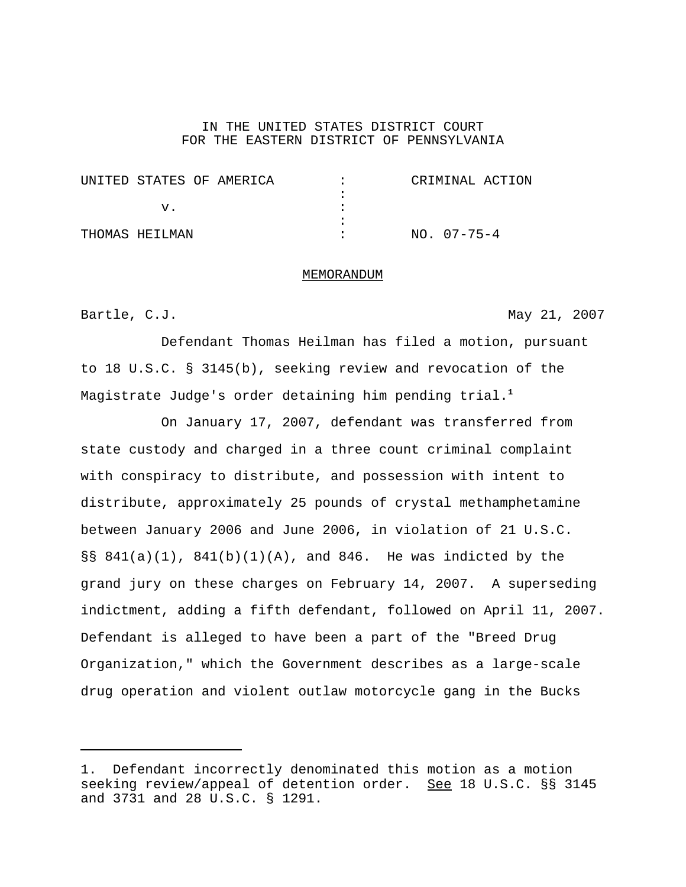### IN THE UNITED STATES DISTRICT COURT FOR THE EASTERN DISTRICT OF PENNSYLVANIA

| UNITED STATES OF AMERICA | CRIMINAL ACTION   |
|--------------------------|-------------------|
|                          |                   |
|                          |                   |
|                          |                   |
| THOMAS HEILMAN           | $NO. 07 - 75 - 4$ |

#### MEMORANDUM

# Bartle, C.J. May 21, 2007

Defendant Thomas Heilman has filed a motion, pursuant to 18 U.S.C. § 3145(b), seeking review and revocation of the Magistrate Judge's order detaining him pending trial.**<sup>1</sup>**

On January 17, 2007, defendant was transferred from state custody and charged in a three count criminal complaint with conspiracy to distribute, and possession with intent to distribute, approximately 25 pounds of crystal methamphetamine between January 2006 and June 2006, in violation of 21 U.S.C. §§ 841(a)(1), 841(b)(1)(A), and 846. He was indicted by the grand jury on these charges on February 14, 2007. A superseding indictment, adding a fifth defendant, followed on April 11, 2007. Defendant is alleged to have been a part of the "Breed Drug Organization," which the Government describes as a large-scale drug operation and violent outlaw motorcycle gang in the Bucks

<sup>1.</sup> Defendant incorrectly denominated this motion as a motion seeking review/appeal of detention order. See 18 U.S.C. §§ 3145 and 3731 and 28 U.S.C. § 1291.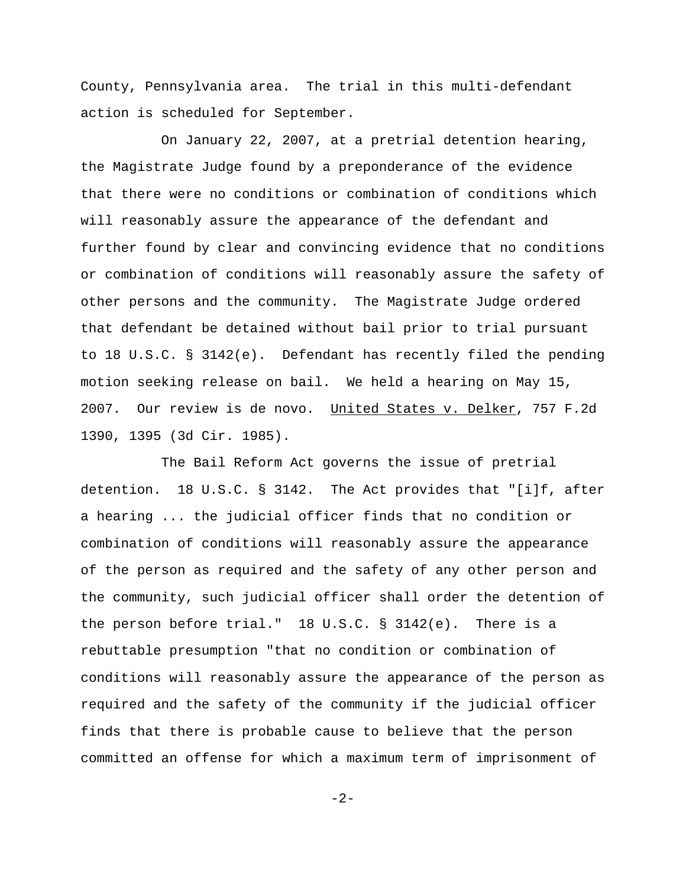County, Pennsylvania area. The trial in this multi-defendant action is scheduled for September.

On January 22, 2007, at a pretrial detention hearing, the Magistrate Judge found by a preponderance of the evidence that there were no conditions or combination of conditions which will reasonably assure the appearance of the defendant and further found by clear and convincing evidence that no conditions or combination of conditions will reasonably assure the safety of other persons and the community. The Magistrate Judge ordered that defendant be detained without bail prior to trial pursuant to 18 U.S.C. § 3142(e). Defendant has recently filed the pending motion seeking release on bail. We held a hearing on May 15, 2007. Our review is de novo. United States v. Delker, 757 F.2d 1390, 1395 (3d Cir. 1985).

The Bail Reform Act governs the issue of pretrial detention. 18 U.S.C. § 3142. The Act provides that "[i]f, after a hearing ... the judicial officer finds that no condition or combination of conditions will reasonably assure the appearance of the person as required and the safety of any other person and the community, such judicial officer shall order the detention of the person before trial." 18 U.S.C. § 3142(e). There is a rebuttable presumption "that no condition or combination of conditions will reasonably assure the appearance of the person as required and the safety of the community if the judicial officer finds that there is probable cause to believe that the person committed an offense for which a maximum term of imprisonment of

-2-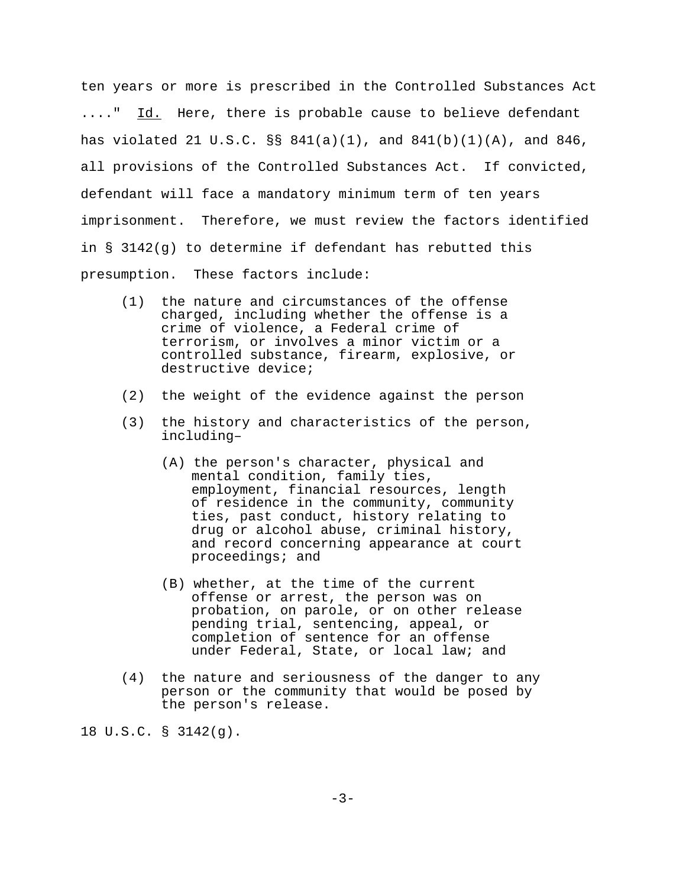ten years or more is prescribed in the Controlled Substances Act ...." Id. Here, there is probable cause to believe defendant has violated 21 U.S.C.  $\S$  841(a)(1), and 841(b)(1)(A), and 846, all provisions of the Controlled Substances Act. If convicted, defendant will face a mandatory minimum term of ten years imprisonment. Therefore, we must review the factors identified in § 3142(g) to determine if defendant has rebutted this presumption. These factors include:

- (1) the nature and circumstances of the offense charged, including whether the offense is a crime of violence, a Federal crime of terrorism, or involves a minor victim or a controlled substance, firearm, explosive, or destructive device;
- (2) the weight of the evidence against the person
- (3) the history and characteristics of the person, including–
	- (A) the person's character, physical and mental condition, family ties, employment, financial resources, length of residence in the community, community ties, past conduct, history relating to drug or alcohol abuse, criminal history, and record concerning appearance at court proceedings; and
	- (B) whether, at the time of the current offense or arrest, the person was on probation, on parole, or on other release pending trial, sentencing, appeal, or completion of sentence for an offense under Federal, State, or local law; and
- (4) the nature and seriousness of the danger to any person or the community that would be posed by the person's release.

18 U.S.C. § 3142(g).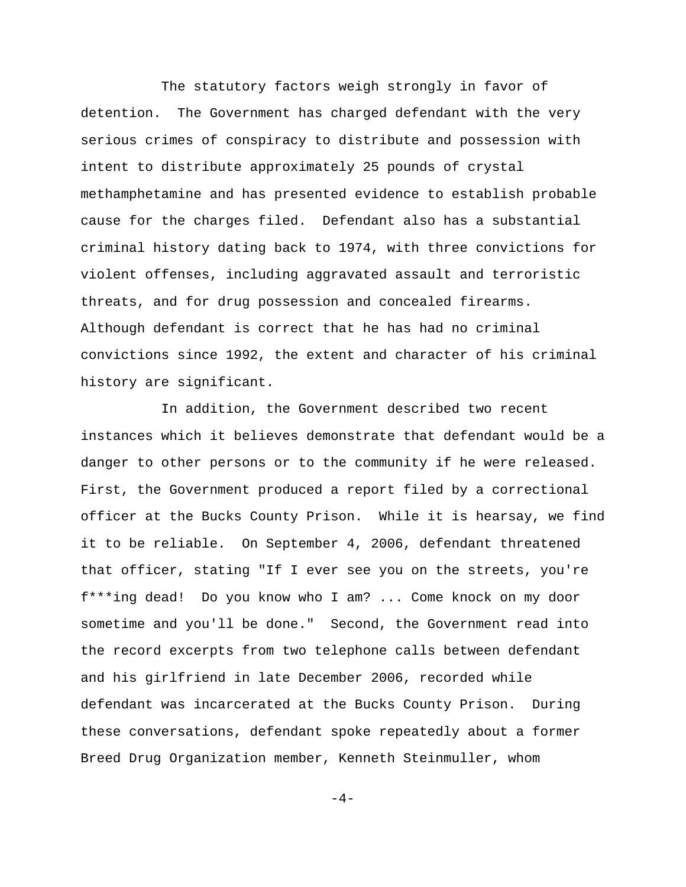The statutory factors weigh strongly in favor of detention. The Government has charged defendant with the very serious crimes of conspiracy to distribute and possession with intent to distribute approximately 25 pounds of crystal methamphetamine and has presented evidence to establish probable cause for the charges filed. Defendant also has a substantial criminal history dating back to 1974, with three convictions for violent offenses, including aggravated assault and terroristic threats, and for drug possession and concealed firearms. Although defendant is correct that he has had no criminal convictions since 1992, the extent and character of his criminal history are significant.

In addition, the Government described two recent instances which it believes demonstrate that defendant would be a danger to other persons or to the community if he were released. First, the Government produced a report filed by a correctional officer at the Bucks County Prison. While it is hearsay, we find it to be reliable. On September 4, 2006, defendant threatened that officer, stating "If I ever see you on the streets, you're f\*\*\*ing dead! Do you know who I am? ... Come knock on my door sometime and you'll be done." Second, the Government read into the record excerpts from two telephone calls between defendant and his girlfriend in late December 2006, recorded while defendant was incarcerated at the Bucks County Prison. During these conversations, defendant spoke repeatedly about a former Breed Drug Organization member, Kenneth Steinmuller, whom

 $-4-$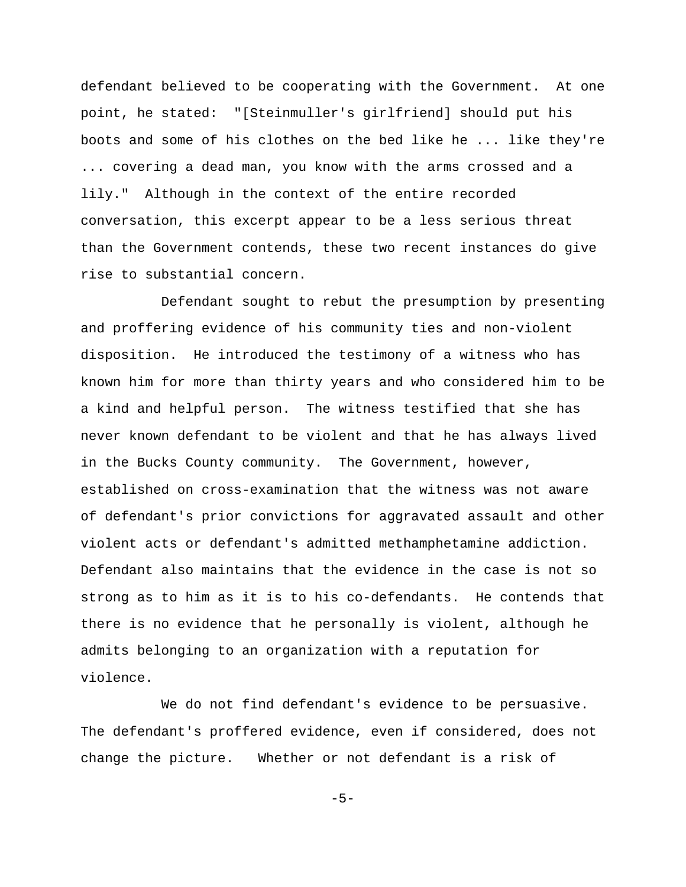defendant believed to be cooperating with the Government. At one point, he stated: "[Steinmuller's girlfriend] should put his boots and some of his clothes on the bed like he ... like they're ... covering a dead man, you know with the arms crossed and a lily." Although in the context of the entire recorded conversation, this excerpt appear to be a less serious threat than the Government contends, these two recent instances do give rise to substantial concern.

Defendant sought to rebut the presumption by presenting and proffering evidence of his community ties and non-violent disposition. He introduced the testimony of a witness who has known him for more than thirty years and who considered him to be a kind and helpful person. The witness testified that she has never known defendant to be violent and that he has always lived in the Bucks County community. The Government, however, established on cross-examination that the witness was not aware of defendant's prior convictions for aggravated assault and other violent acts or defendant's admitted methamphetamine addiction. Defendant also maintains that the evidence in the case is not so strong as to him as it is to his co-defendants. He contends that there is no evidence that he personally is violent, although he admits belonging to an organization with a reputation for violence.

We do not find defendant's evidence to be persuasive. The defendant's proffered evidence, even if considered, does not change the picture. Whether or not defendant is a risk of

 $-5-$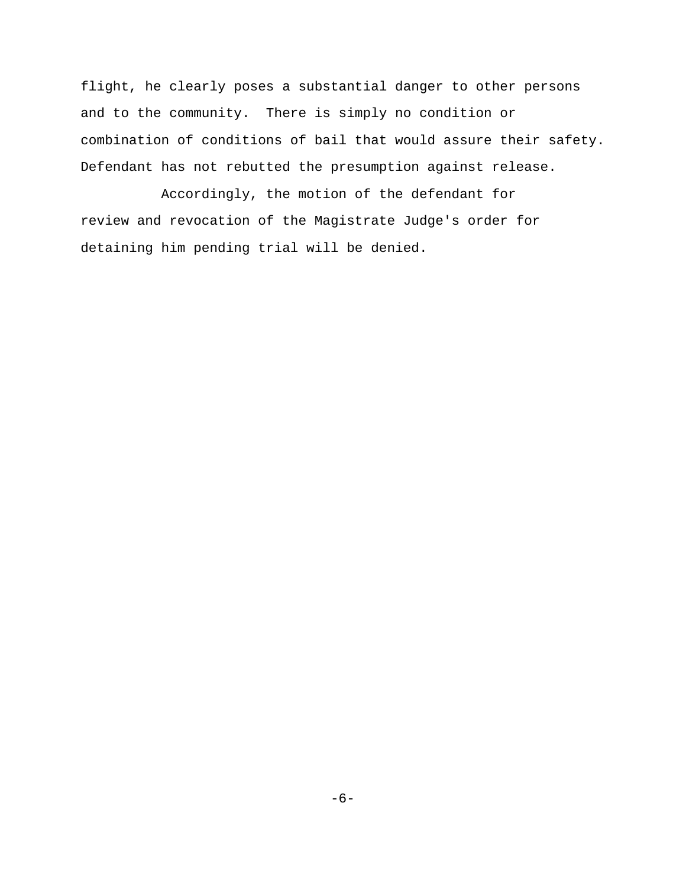flight, he clearly poses a substantial danger to other persons and to the community. There is simply no condition or combination of conditions of bail that would assure their safety. Defendant has not rebutted the presumption against release.

Accordingly, the motion of the defendant for review and revocation of the Magistrate Judge's order for detaining him pending trial will be denied.